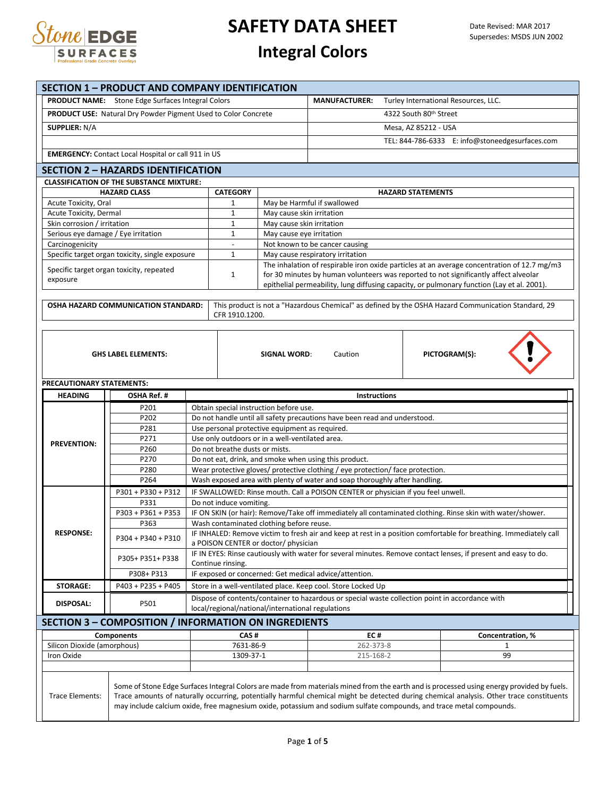

## **Integral Colors**

|                                                            | <b>SECTION 1 - PRODUCT AND COMPANY IDENTIFICATION</b>                                                               |                                                                                         |                                                                                                                |                                                                                                 |                                                                                |                                                                                                                                           |  |  |
|------------------------------------------------------------|---------------------------------------------------------------------------------------------------------------------|-----------------------------------------------------------------------------------------|----------------------------------------------------------------------------------------------------------------|-------------------------------------------------------------------------------------------------|--------------------------------------------------------------------------------|-------------------------------------------------------------------------------------------------------------------------------------------|--|--|
|                                                            | <b>PRODUCT NAME:</b> Stone Edge Surfaces Integral Colors                                                            |                                                                                         |                                                                                                                | <b>MANUFACTURER:</b>                                                                            | Turley International Resources, LLC.                                           |                                                                                                                                           |  |  |
|                                                            | <b>PRODUCT USE:</b> Natural Dry Powder Pigment Used to Color Concrete                                               |                                                                                         |                                                                                                                |                                                                                                 | 4322 South 80th Street                                                         |                                                                                                                                           |  |  |
| <b>SUPPLIER: N/A</b>                                       |                                                                                                                     |                                                                                         |                                                                                                                |                                                                                                 | Mesa, AZ 85212 - USA                                                           |                                                                                                                                           |  |  |
|                                                            |                                                                                                                     |                                                                                         |                                                                                                                |                                                                                                 |                                                                                | TEL: 844-786-6333 E: info@stoneedgesurfaces.com                                                                                           |  |  |
|                                                            |                                                                                                                     |                                                                                         |                                                                                                                |                                                                                                 |                                                                                |                                                                                                                                           |  |  |
| <b>EMERGENCY:</b> Contact Local Hospital or call 911 in US |                                                                                                                     |                                                                                         |                                                                                                                |                                                                                                 |                                                                                |                                                                                                                                           |  |  |
|                                                            | <b>SECTION 2 - HAZARDS IDENTIFICATION</b>                                                                           |                                                                                         |                                                                                                                |                                                                                                 |                                                                                |                                                                                                                                           |  |  |
|                                                            | <b>CLASSIFICATION OF THE SUBSTANCE MIXTURE:</b><br><b>HAZARD CLASS</b>                                              | <b>CATEGORY</b>                                                                         |                                                                                                                |                                                                                                 | <b>HAZARD STATEMENTS</b>                                                       |                                                                                                                                           |  |  |
| Acute Toxicity, Oral                                       |                                                                                                                     | $\mathbf{1}$                                                                            |                                                                                                                | May be Harmful if swallowed                                                                     |                                                                                |                                                                                                                                           |  |  |
| Acute Toxicity, Dermal                                     |                                                                                                                     | $\mathbf{1}$                                                                            | May cause skin irritation                                                                                      |                                                                                                 |                                                                                |                                                                                                                                           |  |  |
| Skin corrosion / irritation                                |                                                                                                                     | $\mathbf{1}$                                                                            | May cause skin irritation                                                                                      |                                                                                                 |                                                                                |                                                                                                                                           |  |  |
| Serious eye damage / Eye irritation                        |                                                                                                                     | $\mathbf{1}$                                                                            | May cause eye irritation                                                                                       |                                                                                                 |                                                                                |                                                                                                                                           |  |  |
| Carcinogenicity                                            |                                                                                                                     | $\blacksquare$                                                                          |                                                                                                                | Not known to be cancer causing                                                                  |                                                                                |                                                                                                                                           |  |  |
|                                                            | Specific target organ toxicity, single exposure                                                                     | $\mathbf{1}$                                                                            |                                                                                                                | May cause respiratory irritation                                                                |                                                                                | The inhalation of respirable iron oxide particles at an average concentration of 12.7 mg/m3                                               |  |  |
|                                                            | Specific target organ toxicity, repeated                                                                            | $\mathbf{1}$                                                                            |                                                                                                                |                                                                                                 |                                                                                | for 30 minutes by human volunteers was reported to not significantly affect alveolar                                                      |  |  |
| exposure                                                   |                                                                                                                     |                                                                                         |                                                                                                                |                                                                                                 |                                                                                | epithelial permeability, lung diffusing capacity, or pulmonary function (Lay et al. 2001).                                                |  |  |
|                                                            |                                                                                                                     |                                                                                         |                                                                                                                |                                                                                                 |                                                                                |                                                                                                                                           |  |  |
|                                                            | OSHA HAZARD COMMUNICATION STANDARD:                                                                                 | CFR 1910.1200.                                                                          |                                                                                                                |                                                                                                 |                                                                                | This product is not a "Hazardous Chemical" as defined by the OSHA Hazard Communication Standard, 29                                       |  |  |
|                                                            |                                                                                                                     |                                                                                         |                                                                                                                |                                                                                                 |                                                                                |                                                                                                                                           |  |  |
|                                                            |                                                                                                                     |                                                                                         |                                                                                                                |                                                                                                 |                                                                                |                                                                                                                                           |  |  |
|                                                            |                                                                                                                     |                                                                                         |                                                                                                                |                                                                                                 |                                                                                |                                                                                                                                           |  |  |
|                                                            | <b>GHS LABEL ELEMENTS:</b>                                                                                          |                                                                                         | SIGNAL WORD:                                                                                                   | Caution                                                                                         |                                                                                | PICTOGRAM(S):                                                                                                                             |  |  |
|                                                            |                                                                                                                     |                                                                                         |                                                                                                                |                                                                                                 |                                                                                |                                                                                                                                           |  |  |
| PRECAUTIONARY STATEMENTS:                                  |                                                                                                                     |                                                                                         |                                                                                                                |                                                                                                 |                                                                                |                                                                                                                                           |  |  |
| <b>HEADING</b>                                             | OSHA Ref. #                                                                                                         |                                                                                         |                                                                                                                | <b>Instructions</b>                                                                             |                                                                                |                                                                                                                                           |  |  |
|                                                            | P201                                                                                                                | Obtain special instruction before use.                                                  |                                                                                                                |                                                                                                 |                                                                                |                                                                                                                                           |  |  |
|                                                            | P202                                                                                                                |                                                                                         |                                                                                                                | Do not handle until all safety precautions have been read and understood.                       |                                                                                |                                                                                                                                           |  |  |
|                                                            | P281                                                                                                                | Use personal protective equipment as required.                                          |                                                                                                                |                                                                                                 |                                                                                |                                                                                                                                           |  |  |
| <b>PREVENTION:</b>                                         | P271                                                                                                                | Use only outdoors or in a well-ventilated area.                                         |                                                                                                                |                                                                                                 |                                                                                |                                                                                                                                           |  |  |
|                                                            | P260<br>P270                                                                                                        | Do not breathe dusts or mists.<br>Do not eat, drink, and smoke when using this product. |                                                                                                                |                                                                                                 |                                                                                |                                                                                                                                           |  |  |
|                                                            | P280                                                                                                                |                                                                                         |                                                                                                                |                                                                                                 | Wear protective gloves/ protective clothing / eye protection/ face protection. |                                                                                                                                           |  |  |
|                                                            | P264                                                                                                                |                                                                                         |                                                                                                                | Wash exposed area with plenty of water and soap thoroughly after handling.                      |                                                                                |                                                                                                                                           |  |  |
|                                                            | P301 + P330 + P312                                                                                                  |                                                                                         |                                                                                                                | IF SWALLOWED: Rinse mouth. Call a POISON CENTER or physician if you feel unwell.                |                                                                                |                                                                                                                                           |  |  |
|                                                            | P331                                                                                                                | Do not induce vomiting.                                                                 |                                                                                                                |                                                                                                 |                                                                                |                                                                                                                                           |  |  |
|                                                            | P303 + P361 + P353                                                                                                  |                                                                                         |                                                                                                                |                                                                                                 |                                                                                | IF ON SKIN (or hair): Remove/Take off immediately all contaminated clothing. Rinse skin with water/shower.                                |  |  |
|                                                            | P363                                                                                                                | Wash contaminated clothing before reuse.                                                |                                                                                                                |                                                                                                 |                                                                                |                                                                                                                                           |  |  |
| <b>RESPONSE:</b>                                           | P304 + P340 + P310                                                                                                  |                                                                                         |                                                                                                                |                                                                                                 |                                                                                | IF INHALED: Remove victim to fresh air and keep at rest in a position comfortable for breathing. Immediately call                         |  |  |
|                                                            |                                                                                                                     | a POISON CENTER or doctor/ physician                                                    |                                                                                                                |                                                                                                 |                                                                                |                                                                                                                                           |  |  |
|                                                            | P305+ P351+ P338                                                                                                    | Continue rinsing.                                                                       | IF IN EYES: Rinse cautiously with water for several minutes. Remove contact lenses, if present and easy to do. |                                                                                                 |                                                                                |                                                                                                                                           |  |  |
|                                                            | P308+ P313                                                                                                          |                                                                                         |                                                                                                                | IF exposed or concerned: Get medical advice/attention.                                          |                                                                                |                                                                                                                                           |  |  |
| <b>STORAGE:</b>                                            | P403 + P235 + P405                                                                                                  |                                                                                         |                                                                                                                | Store in a well-ventilated place. Keep cool. Store Locked Up                                    |                                                                                |                                                                                                                                           |  |  |
|                                                            |                                                                                                                     |                                                                                         |                                                                                                                | Dispose of contents/container to hazardous or special waste collection point in accordance with |                                                                                |                                                                                                                                           |  |  |
|                                                            | <b>DISPOSAL:</b><br>P501<br>local/regional/national/international regulations                                       |                                                                                         |                                                                                                                |                                                                                                 |                                                                                |                                                                                                                                           |  |  |
|                                                            | <b>SECTION 3 - COMPOSITION / INFORMATION ON INGREDIENTS</b>                                                         |                                                                                         |                                                                                                                |                                                                                                 |                                                                                |                                                                                                                                           |  |  |
|                                                            | <b>Components</b>                                                                                                   | CAS#                                                                                    |                                                                                                                | EC#                                                                                             |                                                                                | Concentration, %                                                                                                                          |  |  |
| Silicon Dioxide (amorphous)                                |                                                                                                                     | 7631-86-9                                                                               |                                                                                                                | 262-373-8                                                                                       |                                                                                | 1                                                                                                                                         |  |  |
| Iron Oxide                                                 |                                                                                                                     | 1309-37-1                                                                               |                                                                                                                | 215-168-2                                                                                       |                                                                                | 99                                                                                                                                        |  |  |
|                                                            |                                                                                                                     |                                                                                         |                                                                                                                |                                                                                                 |                                                                                |                                                                                                                                           |  |  |
|                                                            |                                                                                                                     |                                                                                         |                                                                                                                |                                                                                                 |                                                                                | Some of Stone Edge Surfaces Integral Colors are made from materials mined from the earth and is processed using energy provided by fuels. |  |  |
| <b>Trace Elements:</b>                                     |                                                                                                                     |                                                                                         |                                                                                                                |                                                                                                 |                                                                                | Trace amounts of naturally occurring, potentially harmful chemical might be detected during chemical analysis. Other trace constituents   |  |  |
|                                                            | may include calcium oxide, free magnesium oxide, potassium and sodium sulfate compounds, and trace metal compounds. |                                                                                         |                                                                                                                |                                                                                                 |                                                                                |                                                                                                                                           |  |  |
|                                                            |                                                                                                                     |                                                                                         |                                                                                                                |                                                                                                 |                                                                                |                                                                                                                                           |  |  |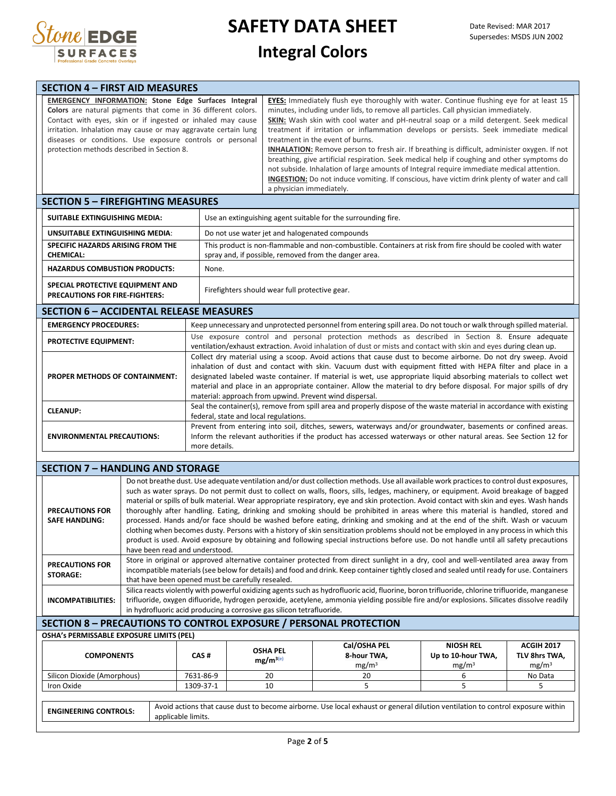

## **Integral Colors**

| <b>SECTION 4 – FIRST AID MEASURES</b>                                                                                                                                                                                                                                                                                                                                   |                                                                                                                                                                                                                                                                                                                                                                                                                                                                                                                                                                                                                                                                                                                                                                                                                                                  |
|-------------------------------------------------------------------------------------------------------------------------------------------------------------------------------------------------------------------------------------------------------------------------------------------------------------------------------------------------------------------------|--------------------------------------------------------------------------------------------------------------------------------------------------------------------------------------------------------------------------------------------------------------------------------------------------------------------------------------------------------------------------------------------------------------------------------------------------------------------------------------------------------------------------------------------------------------------------------------------------------------------------------------------------------------------------------------------------------------------------------------------------------------------------------------------------------------------------------------------------|
| <b>EMERGENCY INFORMATION: Stone Edge Surfaces Integral</b><br>Colors are natural pigments that come in 36 different colors.<br>Contact with eyes, skin or if ingested or inhaled may cause<br>irritation. Inhalation may cause or may aggravate certain lung<br>diseases or conditions. Use exposure controls or personal<br>protection methods described in Section 8. | <b>EYES:</b> Immediately flush eye thoroughly with water. Continue flushing eye for at least 15<br>minutes, including under lids, to remove all particles. Call physician immediately.<br>SKIN: Wash skin with cool water and pH-neutral soap or a mild detergent. Seek medical<br>treatment if irritation or inflammation develops or persists. Seek immediate medical<br>treatment in the event of burns.<br><b>INHALATION:</b> Remove person to fresh air. If breathing is difficult, administer oxygen. If not<br>breathing, give artificial respiration. Seek medical help if coughing and other symptoms do<br>not subside. Inhalation of large amounts of Integral require immediate medical attention.<br><b>INGESTION:</b> Do not induce vomiting. If conscious, have victim drink plenty of water and call<br>a physician immediately. |
| <b>SECTION 5 – FIREFIGHTING MEASURES</b>                                                                                                                                                                                                                                                                                                                                |                                                                                                                                                                                                                                                                                                                                                                                                                                                                                                                                                                                                                                                                                                                                                                                                                                                  |

| SUITABLE EXTINGUISHING MEDIA:                                             | Use an extinguishing agent suitable for the surrounding fire.                                                                                                        |  |  |  |
|---------------------------------------------------------------------------|----------------------------------------------------------------------------------------------------------------------------------------------------------------------|--|--|--|
| UNSUITABLE EXTINGUISHING MEDIA:                                           | Do not use water jet and halogenated compounds                                                                                                                       |  |  |  |
| SPECIFIC HAZARDS ARISING FROM THE<br><b>CHEMICAL:</b>                     | This product is non-flammable and non-combustible. Containers at risk from fire should be cooled with water<br>spray and, if possible, removed from the danger area. |  |  |  |
| <b>HAZARDUS COMBUSTION PRODUCTS:</b>                                      | None.                                                                                                                                                                |  |  |  |
| SPECIAL PROTECTIVE EQUIPMENT AND<br><b>PRECAUTIONS FOR FIRE-FIGHTERS:</b> | Firefighters should wear full protective gear.                                                                                                                       |  |  |  |

### **SECTION 6 – ACCIDENTAL RELEASE MEASURES**

| <b>EMERGENCY PROCEDURES:</b>          | Keep unnecessary and unprotected personnel from entering spill area. Do not touch or walk through spilled material.                                                                                                                                                                                                                                                                                                                                                                                                                |
|---------------------------------------|------------------------------------------------------------------------------------------------------------------------------------------------------------------------------------------------------------------------------------------------------------------------------------------------------------------------------------------------------------------------------------------------------------------------------------------------------------------------------------------------------------------------------------|
| <b>PROTECTIVE EQUIPMENT:</b>          | Use exposure control and personal protection methods as described in Section 8. Ensure adequate<br>ventilation/exhaust extraction. Avoid inhalation of dust or mists and contact with skin and eyes during clean up.                                                                                                                                                                                                                                                                                                               |
| <b>PROPER METHODS OF CONTAINMENT:</b> | Collect dry material using a scoop. Avoid actions that cause dust to become airborne. Do not dry sweep. Avoid<br>inhalation of dust and contact with skin. Vacuum dust with equipment fitted with HEPA filter and place in a<br>designated labeled waste container. If material is wet, use appropriate liquid absorbing materials to collect wet<br>material and place in an appropriate container. Allow the material to dry before disposal. For major spills of dry<br>material: approach from upwind. Prevent wind dispersal. |
| <b>CLEANUP:</b>                       | Seal the container(s), remove from spill area and properly dispose of the waste material in accordance with existing<br>federal, state and local regulations.                                                                                                                                                                                                                                                                                                                                                                      |
| <b>ENVIRONMENTAL PRECAUTIONS:</b>     | Prevent from entering into soil, ditches, sewers, waterways and/or groundwater, basements or confined areas.<br>Inform the relevant authorities if the product has accessed waterways or other natural areas. See Section 12 for<br>more details.                                                                                                                                                                                                                                                                                  |

#### **SECTION 7 – HANDLING AND STORAGE**

| <b>PRECAUTIONS FOR</b><br><b>SAFE HANDLING:</b> | Do not breathe dust. Use adequate ventilation and/or dust collection methods. Use all available work practices to control dust exposures,<br>such as water sprays. Do not permit dust to collect on walls, floors, sills, ledges, machinery, or equipment. Avoid breakage of bagged<br>material or spills of bulk material. Wear appropriate respiratory, eye and skin protection. Avoid contact with skin and eyes. Wash hands<br>thoroughly after handling. Eating, drinking and smoking should be prohibited in areas where this material is handled, stored and<br>processed. Hands and/or face should be washed before eating, drinking and smoking and at the end of the shift. Wash or vacuum<br>clothing when becomes dusty. Persons with a history of skin sensitization problems should not be employed in any process in which this<br>product is used. Avoid exposure by obtaining and following special instructions before use. Do not handle until all safety precautions<br>have been read and understood. |
|-------------------------------------------------|----------------------------------------------------------------------------------------------------------------------------------------------------------------------------------------------------------------------------------------------------------------------------------------------------------------------------------------------------------------------------------------------------------------------------------------------------------------------------------------------------------------------------------------------------------------------------------------------------------------------------------------------------------------------------------------------------------------------------------------------------------------------------------------------------------------------------------------------------------------------------------------------------------------------------------------------------------------------------------------------------------------------------|
| <b>PRECAUTIONS FOR</b><br><b>STORAGE:</b>       | Store in original or approved alternative container protected from direct sunlight in a dry, cool and well-ventilated area away from<br>incompatible materials (see below for details) and food and drink. Keep container tightly closed and sealed until ready for use. Containers<br>that have been opened must be carefully resealed.                                                                                                                                                                                                                                                                                                                                                                                                                                                                                                                                                                                                                                                                                   |
| INCOMPATIBILITIES:                              | Silica reacts violently with powerful oxidizing agents such as hydrofluoric acid, fluorine, boron trifluoride, chlorine trifluoride, manganese<br>trifluoride, oxygen difluoride, hydrogen peroxide, acetylene, ammonia yielding possible fire and/or explosions. Silicates dissolve readily<br>in hydrofluoric acid producing a corrosive gas silicon tetrafluoride.                                                                                                                                                                                                                                                                                                                                                                                                                                                                                                                                                                                                                                                      |

### **SECTION 8 – PRECAUTIONS TO CONTROL EXPOSURE / PERSONAL PROTECTION**

**OSHA's PERMISSABLE EXPOSURE LIMITS (PEL)**

| <b>OSHA PEL</b><br>$mg/m^{3(e)}$ | 8-hour TWA,<br>mg/m <sup>3</sup> | Up to 10-hour TWA,<br>mg/m <sup>3</sup> | TLV 8hrs TWA,<br>mg/m <sup>3</sup> |
|----------------------------------|----------------------------------|-----------------------------------------|------------------------------------|
| 20                               | 20                               |                                         | No Data                            |
| 10                               |                                  |                                         |                                    |
|                                  |                                  |                                         |                                    |
|                                  |                                  |                                         |                                    |

| <b>ENGINEERING CONTROLS:</b> | Avoid actions that cause dust to become airborne. Use local exhaust or general dilution ventilation to control exposure within |
|------------------------------|--------------------------------------------------------------------------------------------------------------------------------|
|                              | applicable limits.                                                                                                             |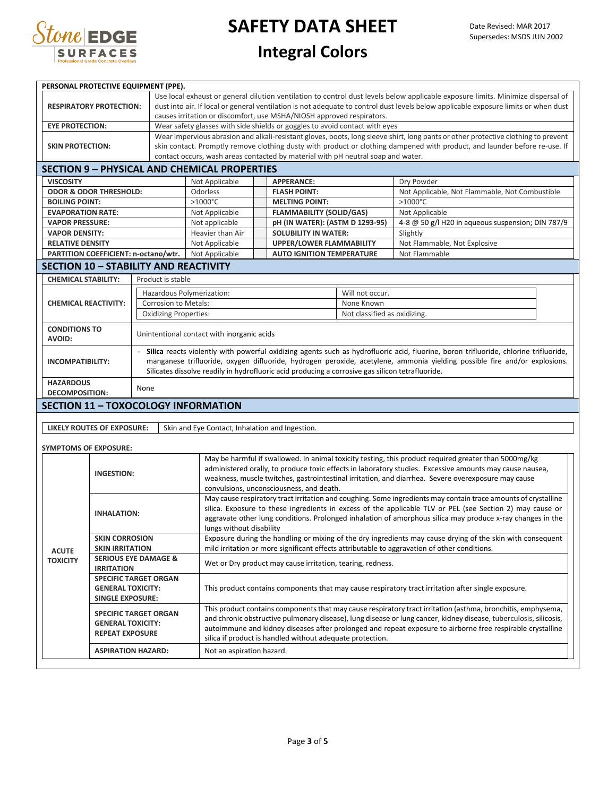

## **Integral Colors**

| dust into air. If local or general ventilation is not adequate to control dust levels below applicable exposure limits or when dust<br><b>RESPIRATORY PROTECTION:</b><br>causes irritation or discomfort, use MSHA/NIOSH approved respirators.<br>Wear safety glasses with side shields or goggles to avoid contact with eyes<br><b>EYE PROTECTION:</b><br>Wear impervious abrasion and alkali-resistant gloves, boots, long sleeve shirt, long pants or other protective clothing to prevent<br>skin contact. Promptly remove clothing dusty with product or clothing dampened with product, and launder before re-use. If<br><b>SKIN PROTECTION:</b><br>contact occurs, wash areas contacted by material with pH neutral soap and water.<br><b>SECTION 9 - PHYSICAL AND CHEMICAL PROPERTIES</b><br><b>VISCOSITY</b><br>Not Applicable<br><b>APPERANCE:</b><br>Dry Powder<br><b>ODOR &amp; ODOR THRESHOLD:</b><br><b>FLASH POINT:</b><br>Not Applicable, Not Flammable, Not Combustible<br>Odorless<br>$>1000^{\circ}$ C<br>$>1000^{\circ}$ C<br><b>BOILING POINT:</b><br><b>MELTING POINT:</b><br><b>EVAPORATION RATE:</b><br><b>FLAMMABILITY (SOLID/GAS)</b><br>Not Applicable<br>Not Applicable<br><b>VAPOR PRESSURE:</b><br>Not applicable<br>pH (IN WATER): (ASTM D 1293-95)<br>4-8 @ 50 g/l H20 in aqueous suspension; DIN 787/9<br><b>VAPOR DENSITY:</b><br>Heavier than Air<br><b>SOLUBILITY IN WATER:</b><br>Slightly<br><b>RELATIVE DENSITY</b><br>Not Applicable<br><b>UPPER/LOWER FLAMMABILITY</b><br>Not Flammable, Not Explosive<br>PARTITION COEFFICIENT: n-octano/wtr.<br>Not Applicable<br><b>AUTO IGNITION TEMPERATURE</b><br>Not Flammable<br><b>SECTION 10 - STABILITY AND REACTIVITY</b><br><b>CHEMICAL STABILITY:</b><br>Product is stable<br>Will not occur.<br>Hazardous Polymerization:<br><b>Corrosion to Metals:</b><br><b>CHEMICAL REACTIVITY:</b><br>None Known<br>Not classified as oxidizing.<br><b>Oxidizing Properties:</b><br><b>CONDITIONS TO</b><br>Unintentional contact with inorganic acids<br><b>AVOID:</b><br>- Silica reacts violently with powerful oxidizing agents such as hydrofluoric acid, fluorine, boron trifluoride, chlorine trifluoride,<br>manganese trifluoride, oxygen difluoride, hydrogen peroxide, acetylene, ammonia yielding possible fire and/or explosions.<br><b>INCOMPATIBILITY:</b><br>Silicates dissolve readily in hydrofluoric acid producing a corrosive gas silicon tetrafluoride.<br><b>HAZARDOUS</b><br>None<br><b>DECOMPOSITION:</b><br><b>SECTION 11 - TOXOCOLOGY INFORMATION</b><br>Skin and Eye Contact, Inhalation and Ingestion.<br>LIKELY ROUTES OF EXPOSURE:<br><b>SYMPTOMS OF EXPOSURE:</b><br>May be harmful if swallowed. In animal toxicity testing, this product required greater than 5000mg/kg<br>administered orally, to produce toxic effects in laboratory studies. Excessive amounts may cause nausea,<br><b>INGESTION:</b><br>weakness, muscle twitches, gastrointestinal irritation, and diarrhea. Severe overexposure may cause<br>convulsions, unconsciousness, and death.<br>May cause respiratory tract irritation and coughing. Some ingredients may contain trace amounts of crystalline<br>silica. Exposure to these ingredients in excess of the applicable TLV or PEL (see Section 2) may cause or<br><b>INHALATION:</b><br>aggravate other lung conditions. Prolonged inhalation of amorphous silica may produce x-ray changes in the<br>lungs without disability<br>Exposure during the handling or mixing of the dry ingredients may cause drying of the skin with consequent<br><b>SKIN CORROSION</b><br>mild irritation or more significant effects attributable to aggravation of other conditions.<br><b>SKIN IRRITATION</b><br><b>ACUTE</b><br><b>SERIOUS EYE DAMAGE &amp;</b><br><b>TOXICITY</b><br>Wet or Dry product may cause irritation, tearing, redness.<br><b>IRRITATION</b><br><b>SPECIFIC TARGET ORGAN</b><br><b>GENERAL TOXICITY:</b><br>This product contains components that may cause respiratory tract irritation after single exposure.<br><b>SINGLE EXPOSURE:</b><br>This product contains components that may cause respiratory tract irritation (asthma, bronchitis, emphysema,<br><b>SPECIFIC TARGET ORGAN</b><br>and chronic obstructive pulmonary disease), lung disease or lung cancer, kidney disease, tuberculosis, silicosis,<br><b>GENERAL TOXICITY:</b><br>autoimmune and kidney diseases after prolonged and repeat exposure to airborne free respirable crystalline<br><b>REPEAT EXPOSURE</b><br>silica if product is handled without adequate protection.<br><b>ASPIRATION HAZARD:</b><br>Not an aspiration hazard. | PERSONAL PROTECTIVE EQUIPMENT (PPE). |  |  |                                                                                                                                  |  |  |  |  |  |  |  |
|--------------------------------------------------------------------------------------------------------------------------------------------------------------------------------------------------------------------------------------------------------------------------------------------------------------------------------------------------------------------------------------------------------------------------------------------------------------------------------------------------------------------------------------------------------------------------------------------------------------------------------------------------------------------------------------------------------------------------------------------------------------------------------------------------------------------------------------------------------------------------------------------------------------------------------------------------------------------------------------------------------------------------------------------------------------------------------------------------------------------------------------------------------------------------------------------------------------------------------------------------------------------------------------------------------------------------------------------------------------------------------------------------------------------------------------------------------------------------------------------------------------------------------------------------------------------------------------------------------------------------------------------------------------------------------------------------------------------------------------------------------------------------------------------------------------------------------------------------------------------------------------------------------------------------------------------------------------------------------------------------------------------------------------------------------------------------------------------------------------------------------------------------------------------------------------------------------------------------------------------------------------------------------------------------------------------------------------------------------------------------------------------------------------------------------------------------------------------------------------------------------------------------------------------------------------------------------------------------------------------------------------------------------------------------------------------------------------------------------------------------------------------------------------------------------------------------------------------------------------------------------------------------------------------------------------------------------------------------------------------------------------------------------------------------------------------------------------------------------------------------------------------------------------------------------------------------------------------------------------------------------------------------------------------------------------------------------------------------------------------------------------------------------------------------------------------------------------------------------------------------------------------------------------------------------------------------------------------------------------------------------------------------------------------------------------------------------------------------------------------------------------------------------------------------------------------------------------------------------------------------------------------------------------------------------------------------------------------------------------------------------------------------------------------------------------------------------------------------------------------------------------------------------------------------------------------------------------------------------------------------------------------------------------------------------------------------------------------------------------------------------------------------------------------------------------------------------------------------------------------------------------------------------------------------------------------------------------------------------------------------------------------------------------------|--------------------------------------|--|--|----------------------------------------------------------------------------------------------------------------------------------|--|--|--|--|--|--|--|
|                                                                                                                                                                                                                                                                                                                                                                                                                                                                                                                                                                                                                                                                                                                                                                                                                                                                                                                                                                                                                                                                                                                                                                                                                                                                                                                                                                                                                                                                                                                                                                                                                                                                                                                                                                                                                                                                                                                                                                                                                                                                                                                                                                                                                                                                                                                                                                                                                                                                                                                                                                                                                                                                                                                                                                                                                                                                                                                                                                                                                                                                                                                                                                                                                                                                                                                                                                                                                                                                                                                                                                                                                                                                                                                                                                                                                                                                                                                                                                                                                                                                                                                                                                                                                                                                                                                                                                                                                                                                                                                                                                                                                                                                    |                                      |  |  | Use local exhaust or general dilution ventilation to control dust levels below applicable exposure limits. Minimize dispersal of |  |  |  |  |  |  |  |
|                                                                                                                                                                                                                                                                                                                                                                                                                                                                                                                                                                                                                                                                                                                                                                                                                                                                                                                                                                                                                                                                                                                                                                                                                                                                                                                                                                                                                                                                                                                                                                                                                                                                                                                                                                                                                                                                                                                                                                                                                                                                                                                                                                                                                                                                                                                                                                                                                                                                                                                                                                                                                                                                                                                                                                                                                                                                                                                                                                                                                                                                                                                                                                                                                                                                                                                                                                                                                                                                                                                                                                                                                                                                                                                                                                                                                                                                                                                                                                                                                                                                                                                                                                                                                                                                                                                                                                                                                                                                                                                                                                                                                                                                    |                                      |  |  |                                                                                                                                  |  |  |  |  |  |  |  |
|                                                                                                                                                                                                                                                                                                                                                                                                                                                                                                                                                                                                                                                                                                                                                                                                                                                                                                                                                                                                                                                                                                                                                                                                                                                                                                                                                                                                                                                                                                                                                                                                                                                                                                                                                                                                                                                                                                                                                                                                                                                                                                                                                                                                                                                                                                                                                                                                                                                                                                                                                                                                                                                                                                                                                                                                                                                                                                                                                                                                                                                                                                                                                                                                                                                                                                                                                                                                                                                                                                                                                                                                                                                                                                                                                                                                                                                                                                                                                                                                                                                                                                                                                                                                                                                                                                                                                                                                                                                                                                                                                                                                                                                                    |                                      |  |  |                                                                                                                                  |  |  |  |  |  |  |  |
|                                                                                                                                                                                                                                                                                                                                                                                                                                                                                                                                                                                                                                                                                                                                                                                                                                                                                                                                                                                                                                                                                                                                                                                                                                                                                                                                                                                                                                                                                                                                                                                                                                                                                                                                                                                                                                                                                                                                                                                                                                                                                                                                                                                                                                                                                                                                                                                                                                                                                                                                                                                                                                                                                                                                                                                                                                                                                                                                                                                                                                                                                                                                                                                                                                                                                                                                                                                                                                                                                                                                                                                                                                                                                                                                                                                                                                                                                                                                                                                                                                                                                                                                                                                                                                                                                                                                                                                                                                                                                                                                                                                                                                                                    |                                      |  |  |                                                                                                                                  |  |  |  |  |  |  |  |
|                                                                                                                                                                                                                                                                                                                                                                                                                                                                                                                                                                                                                                                                                                                                                                                                                                                                                                                                                                                                                                                                                                                                                                                                                                                                                                                                                                                                                                                                                                                                                                                                                                                                                                                                                                                                                                                                                                                                                                                                                                                                                                                                                                                                                                                                                                                                                                                                                                                                                                                                                                                                                                                                                                                                                                                                                                                                                                                                                                                                                                                                                                                                                                                                                                                                                                                                                                                                                                                                                                                                                                                                                                                                                                                                                                                                                                                                                                                                                                                                                                                                                                                                                                                                                                                                                                                                                                                                                                                                                                                                                                                                                                                                    |                                      |  |  |                                                                                                                                  |  |  |  |  |  |  |  |
|                                                                                                                                                                                                                                                                                                                                                                                                                                                                                                                                                                                                                                                                                                                                                                                                                                                                                                                                                                                                                                                                                                                                                                                                                                                                                                                                                                                                                                                                                                                                                                                                                                                                                                                                                                                                                                                                                                                                                                                                                                                                                                                                                                                                                                                                                                                                                                                                                                                                                                                                                                                                                                                                                                                                                                                                                                                                                                                                                                                                                                                                                                                                                                                                                                                                                                                                                                                                                                                                                                                                                                                                                                                                                                                                                                                                                                                                                                                                                                                                                                                                                                                                                                                                                                                                                                                                                                                                                                                                                                                                                                                                                                                                    |                                      |  |  |                                                                                                                                  |  |  |  |  |  |  |  |
|                                                                                                                                                                                                                                                                                                                                                                                                                                                                                                                                                                                                                                                                                                                                                                                                                                                                                                                                                                                                                                                                                                                                                                                                                                                                                                                                                                                                                                                                                                                                                                                                                                                                                                                                                                                                                                                                                                                                                                                                                                                                                                                                                                                                                                                                                                                                                                                                                                                                                                                                                                                                                                                                                                                                                                                                                                                                                                                                                                                                                                                                                                                                                                                                                                                                                                                                                                                                                                                                                                                                                                                                                                                                                                                                                                                                                                                                                                                                                                                                                                                                                                                                                                                                                                                                                                                                                                                                                                                                                                                                                                                                                                                                    |                                      |  |  |                                                                                                                                  |  |  |  |  |  |  |  |
|                                                                                                                                                                                                                                                                                                                                                                                                                                                                                                                                                                                                                                                                                                                                                                                                                                                                                                                                                                                                                                                                                                                                                                                                                                                                                                                                                                                                                                                                                                                                                                                                                                                                                                                                                                                                                                                                                                                                                                                                                                                                                                                                                                                                                                                                                                                                                                                                                                                                                                                                                                                                                                                                                                                                                                                                                                                                                                                                                                                                                                                                                                                                                                                                                                                                                                                                                                                                                                                                                                                                                                                                                                                                                                                                                                                                                                                                                                                                                                                                                                                                                                                                                                                                                                                                                                                                                                                                                                                                                                                                                                                                                                                                    |                                      |  |  |                                                                                                                                  |  |  |  |  |  |  |  |
|                                                                                                                                                                                                                                                                                                                                                                                                                                                                                                                                                                                                                                                                                                                                                                                                                                                                                                                                                                                                                                                                                                                                                                                                                                                                                                                                                                                                                                                                                                                                                                                                                                                                                                                                                                                                                                                                                                                                                                                                                                                                                                                                                                                                                                                                                                                                                                                                                                                                                                                                                                                                                                                                                                                                                                                                                                                                                                                                                                                                                                                                                                                                                                                                                                                                                                                                                                                                                                                                                                                                                                                                                                                                                                                                                                                                                                                                                                                                                                                                                                                                                                                                                                                                                                                                                                                                                                                                                                                                                                                                                                                                                                                                    |                                      |  |  |                                                                                                                                  |  |  |  |  |  |  |  |
|                                                                                                                                                                                                                                                                                                                                                                                                                                                                                                                                                                                                                                                                                                                                                                                                                                                                                                                                                                                                                                                                                                                                                                                                                                                                                                                                                                                                                                                                                                                                                                                                                                                                                                                                                                                                                                                                                                                                                                                                                                                                                                                                                                                                                                                                                                                                                                                                                                                                                                                                                                                                                                                                                                                                                                                                                                                                                                                                                                                                                                                                                                                                                                                                                                                                                                                                                                                                                                                                                                                                                                                                                                                                                                                                                                                                                                                                                                                                                                                                                                                                                                                                                                                                                                                                                                                                                                                                                                                                                                                                                                                                                                                                    |                                      |  |  |                                                                                                                                  |  |  |  |  |  |  |  |
|                                                                                                                                                                                                                                                                                                                                                                                                                                                                                                                                                                                                                                                                                                                                                                                                                                                                                                                                                                                                                                                                                                                                                                                                                                                                                                                                                                                                                                                                                                                                                                                                                                                                                                                                                                                                                                                                                                                                                                                                                                                                                                                                                                                                                                                                                                                                                                                                                                                                                                                                                                                                                                                                                                                                                                                                                                                                                                                                                                                                                                                                                                                                                                                                                                                                                                                                                                                                                                                                                                                                                                                                                                                                                                                                                                                                                                                                                                                                                                                                                                                                                                                                                                                                                                                                                                                                                                                                                                                                                                                                                                                                                                                                    |                                      |  |  |                                                                                                                                  |  |  |  |  |  |  |  |
|                                                                                                                                                                                                                                                                                                                                                                                                                                                                                                                                                                                                                                                                                                                                                                                                                                                                                                                                                                                                                                                                                                                                                                                                                                                                                                                                                                                                                                                                                                                                                                                                                                                                                                                                                                                                                                                                                                                                                                                                                                                                                                                                                                                                                                                                                                                                                                                                                                                                                                                                                                                                                                                                                                                                                                                                                                                                                                                                                                                                                                                                                                                                                                                                                                                                                                                                                                                                                                                                                                                                                                                                                                                                                                                                                                                                                                                                                                                                                                                                                                                                                                                                                                                                                                                                                                                                                                                                                                                                                                                                                                                                                                                                    |                                      |  |  |                                                                                                                                  |  |  |  |  |  |  |  |
|                                                                                                                                                                                                                                                                                                                                                                                                                                                                                                                                                                                                                                                                                                                                                                                                                                                                                                                                                                                                                                                                                                                                                                                                                                                                                                                                                                                                                                                                                                                                                                                                                                                                                                                                                                                                                                                                                                                                                                                                                                                                                                                                                                                                                                                                                                                                                                                                                                                                                                                                                                                                                                                                                                                                                                                                                                                                                                                                                                                                                                                                                                                                                                                                                                                                                                                                                                                                                                                                                                                                                                                                                                                                                                                                                                                                                                                                                                                                                                                                                                                                                                                                                                                                                                                                                                                                                                                                                                                                                                                                                                                                                                                                    |                                      |  |  |                                                                                                                                  |  |  |  |  |  |  |  |
|                                                                                                                                                                                                                                                                                                                                                                                                                                                                                                                                                                                                                                                                                                                                                                                                                                                                                                                                                                                                                                                                                                                                                                                                                                                                                                                                                                                                                                                                                                                                                                                                                                                                                                                                                                                                                                                                                                                                                                                                                                                                                                                                                                                                                                                                                                                                                                                                                                                                                                                                                                                                                                                                                                                                                                                                                                                                                                                                                                                                                                                                                                                                                                                                                                                                                                                                                                                                                                                                                                                                                                                                                                                                                                                                                                                                                                                                                                                                                                                                                                                                                                                                                                                                                                                                                                                                                                                                                                                                                                                                                                                                                                                                    |                                      |  |  |                                                                                                                                  |  |  |  |  |  |  |  |
|                                                                                                                                                                                                                                                                                                                                                                                                                                                                                                                                                                                                                                                                                                                                                                                                                                                                                                                                                                                                                                                                                                                                                                                                                                                                                                                                                                                                                                                                                                                                                                                                                                                                                                                                                                                                                                                                                                                                                                                                                                                                                                                                                                                                                                                                                                                                                                                                                                                                                                                                                                                                                                                                                                                                                                                                                                                                                                                                                                                                                                                                                                                                                                                                                                                                                                                                                                                                                                                                                                                                                                                                                                                                                                                                                                                                                                                                                                                                                                                                                                                                                                                                                                                                                                                                                                                                                                                                                                                                                                                                                                                                                                                                    |                                      |  |  |                                                                                                                                  |  |  |  |  |  |  |  |
|                                                                                                                                                                                                                                                                                                                                                                                                                                                                                                                                                                                                                                                                                                                                                                                                                                                                                                                                                                                                                                                                                                                                                                                                                                                                                                                                                                                                                                                                                                                                                                                                                                                                                                                                                                                                                                                                                                                                                                                                                                                                                                                                                                                                                                                                                                                                                                                                                                                                                                                                                                                                                                                                                                                                                                                                                                                                                                                                                                                                                                                                                                                                                                                                                                                                                                                                                                                                                                                                                                                                                                                                                                                                                                                                                                                                                                                                                                                                                                                                                                                                                                                                                                                                                                                                                                                                                                                                                                                                                                                                                                                                                                                                    |                                      |  |  |                                                                                                                                  |  |  |  |  |  |  |  |
|                                                                                                                                                                                                                                                                                                                                                                                                                                                                                                                                                                                                                                                                                                                                                                                                                                                                                                                                                                                                                                                                                                                                                                                                                                                                                                                                                                                                                                                                                                                                                                                                                                                                                                                                                                                                                                                                                                                                                                                                                                                                                                                                                                                                                                                                                                                                                                                                                                                                                                                                                                                                                                                                                                                                                                                                                                                                                                                                                                                                                                                                                                                                                                                                                                                                                                                                                                                                                                                                                                                                                                                                                                                                                                                                                                                                                                                                                                                                                                                                                                                                                                                                                                                                                                                                                                                                                                                                                                                                                                                                                                                                                                                                    |                                      |  |  |                                                                                                                                  |  |  |  |  |  |  |  |
|                                                                                                                                                                                                                                                                                                                                                                                                                                                                                                                                                                                                                                                                                                                                                                                                                                                                                                                                                                                                                                                                                                                                                                                                                                                                                                                                                                                                                                                                                                                                                                                                                                                                                                                                                                                                                                                                                                                                                                                                                                                                                                                                                                                                                                                                                                                                                                                                                                                                                                                                                                                                                                                                                                                                                                                                                                                                                                                                                                                                                                                                                                                                                                                                                                                                                                                                                                                                                                                                                                                                                                                                                                                                                                                                                                                                                                                                                                                                                                                                                                                                                                                                                                                                                                                                                                                                                                                                                                                                                                                                                                                                                                                                    |                                      |  |  |                                                                                                                                  |  |  |  |  |  |  |  |
|                                                                                                                                                                                                                                                                                                                                                                                                                                                                                                                                                                                                                                                                                                                                                                                                                                                                                                                                                                                                                                                                                                                                                                                                                                                                                                                                                                                                                                                                                                                                                                                                                                                                                                                                                                                                                                                                                                                                                                                                                                                                                                                                                                                                                                                                                                                                                                                                                                                                                                                                                                                                                                                                                                                                                                                                                                                                                                                                                                                                                                                                                                                                                                                                                                                                                                                                                                                                                                                                                                                                                                                                                                                                                                                                                                                                                                                                                                                                                                                                                                                                                                                                                                                                                                                                                                                                                                                                                                                                                                                                                                                                                                                                    |                                      |  |  |                                                                                                                                  |  |  |  |  |  |  |  |
|                                                                                                                                                                                                                                                                                                                                                                                                                                                                                                                                                                                                                                                                                                                                                                                                                                                                                                                                                                                                                                                                                                                                                                                                                                                                                                                                                                                                                                                                                                                                                                                                                                                                                                                                                                                                                                                                                                                                                                                                                                                                                                                                                                                                                                                                                                                                                                                                                                                                                                                                                                                                                                                                                                                                                                                                                                                                                                                                                                                                                                                                                                                                                                                                                                                                                                                                                                                                                                                                                                                                                                                                                                                                                                                                                                                                                                                                                                                                                                                                                                                                                                                                                                                                                                                                                                                                                                                                                                                                                                                                                                                                                                                                    |                                      |  |  |                                                                                                                                  |  |  |  |  |  |  |  |
|                                                                                                                                                                                                                                                                                                                                                                                                                                                                                                                                                                                                                                                                                                                                                                                                                                                                                                                                                                                                                                                                                                                                                                                                                                                                                                                                                                                                                                                                                                                                                                                                                                                                                                                                                                                                                                                                                                                                                                                                                                                                                                                                                                                                                                                                                                                                                                                                                                                                                                                                                                                                                                                                                                                                                                                                                                                                                                                                                                                                                                                                                                                                                                                                                                                                                                                                                                                                                                                                                                                                                                                                                                                                                                                                                                                                                                                                                                                                                                                                                                                                                                                                                                                                                                                                                                                                                                                                                                                                                                                                                                                                                                                                    |                                      |  |  |                                                                                                                                  |  |  |  |  |  |  |  |
|                                                                                                                                                                                                                                                                                                                                                                                                                                                                                                                                                                                                                                                                                                                                                                                                                                                                                                                                                                                                                                                                                                                                                                                                                                                                                                                                                                                                                                                                                                                                                                                                                                                                                                                                                                                                                                                                                                                                                                                                                                                                                                                                                                                                                                                                                                                                                                                                                                                                                                                                                                                                                                                                                                                                                                                                                                                                                                                                                                                                                                                                                                                                                                                                                                                                                                                                                                                                                                                                                                                                                                                                                                                                                                                                                                                                                                                                                                                                                                                                                                                                                                                                                                                                                                                                                                                                                                                                                                                                                                                                                                                                                                                                    |                                      |  |  |                                                                                                                                  |  |  |  |  |  |  |  |
|                                                                                                                                                                                                                                                                                                                                                                                                                                                                                                                                                                                                                                                                                                                                                                                                                                                                                                                                                                                                                                                                                                                                                                                                                                                                                                                                                                                                                                                                                                                                                                                                                                                                                                                                                                                                                                                                                                                                                                                                                                                                                                                                                                                                                                                                                                                                                                                                                                                                                                                                                                                                                                                                                                                                                                                                                                                                                                                                                                                                                                                                                                                                                                                                                                                                                                                                                                                                                                                                                                                                                                                                                                                                                                                                                                                                                                                                                                                                                                                                                                                                                                                                                                                                                                                                                                                                                                                                                                                                                                                                                                                                                                                                    |                                      |  |  |                                                                                                                                  |  |  |  |  |  |  |  |
|                                                                                                                                                                                                                                                                                                                                                                                                                                                                                                                                                                                                                                                                                                                                                                                                                                                                                                                                                                                                                                                                                                                                                                                                                                                                                                                                                                                                                                                                                                                                                                                                                                                                                                                                                                                                                                                                                                                                                                                                                                                                                                                                                                                                                                                                                                                                                                                                                                                                                                                                                                                                                                                                                                                                                                                                                                                                                                                                                                                                                                                                                                                                                                                                                                                                                                                                                                                                                                                                                                                                                                                                                                                                                                                                                                                                                                                                                                                                                                                                                                                                                                                                                                                                                                                                                                                                                                                                                                                                                                                                                                                                                                                                    |                                      |  |  |                                                                                                                                  |  |  |  |  |  |  |  |
|                                                                                                                                                                                                                                                                                                                                                                                                                                                                                                                                                                                                                                                                                                                                                                                                                                                                                                                                                                                                                                                                                                                                                                                                                                                                                                                                                                                                                                                                                                                                                                                                                                                                                                                                                                                                                                                                                                                                                                                                                                                                                                                                                                                                                                                                                                                                                                                                                                                                                                                                                                                                                                                                                                                                                                                                                                                                                                                                                                                                                                                                                                                                                                                                                                                                                                                                                                                                                                                                                                                                                                                                                                                                                                                                                                                                                                                                                                                                                                                                                                                                                                                                                                                                                                                                                                                                                                                                                                                                                                                                                                                                                                                                    |                                      |  |  |                                                                                                                                  |  |  |  |  |  |  |  |
|                                                                                                                                                                                                                                                                                                                                                                                                                                                                                                                                                                                                                                                                                                                                                                                                                                                                                                                                                                                                                                                                                                                                                                                                                                                                                                                                                                                                                                                                                                                                                                                                                                                                                                                                                                                                                                                                                                                                                                                                                                                                                                                                                                                                                                                                                                                                                                                                                                                                                                                                                                                                                                                                                                                                                                                                                                                                                                                                                                                                                                                                                                                                                                                                                                                                                                                                                                                                                                                                                                                                                                                                                                                                                                                                                                                                                                                                                                                                                                                                                                                                                                                                                                                                                                                                                                                                                                                                                                                                                                                                                                                                                                                                    |                                      |  |  |                                                                                                                                  |  |  |  |  |  |  |  |
|                                                                                                                                                                                                                                                                                                                                                                                                                                                                                                                                                                                                                                                                                                                                                                                                                                                                                                                                                                                                                                                                                                                                                                                                                                                                                                                                                                                                                                                                                                                                                                                                                                                                                                                                                                                                                                                                                                                                                                                                                                                                                                                                                                                                                                                                                                                                                                                                                                                                                                                                                                                                                                                                                                                                                                                                                                                                                                                                                                                                                                                                                                                                                                                                                                                                                                                                                                                                                                                                                                                                                                                                                                                                                                                                                                                                                                                                                                                                                                                                                                                                                                                                                                                                                                                                                                                                                                                                                                                                                                                                                                                                                                                                    |                                      |  |  |                                                                                                                                  |  |  |  |  |  |  |  |
|                                                                                                                                                                                                                                                                                                                                                                                                                                                                                                                                                                                                                                                                                                                                                                                                                                                                                                                                                                                                                                                                                                                                                                                                                                                                                                                                                                                                                                                                                                                                                                                                                                                                                                                                                                                                                                                                                                                                                                                                                                                                                                                                                                                                                                                                                                                                                                                                                                                                                                                                                                                                                                                                                                                                                                                                                                                                                                                                                                                                                                                                                                                                                                                                                                                                                                                                                                                                                                                                                                                                                                                                                                                                                                                                                                                                                                                                                                                                                                                                                                                                                                                                                                                                                                                                                                                                                                                                                                                                                                                                                                                                                                                                    |                                      |  |  |                                                                                                                                  |  |  |  |  |  |  |  |
|                                                                                                                                                                                                                                                                                                                                                                                                                                                                                                                                                                                                                                                                                                                                                                                                                                                                                                                                                                                                                                                                                                                                                                                                                                                                                                                                                                                                                                                                                                                                                                                                                                                                                                                                                                                                                                                                                                                                                                                                                                                                                                                                                                                                                                                                                                                                                                                                                                                                                                                                                                                                                                                                                                                                                                                                                                                                                                                                                                                                                                                                                                                                                                                                                                                                                                                                                                                                                                                                                                                                                                                                                                                                                                                                                                                                                                                                                                                                                                                                                                                                                                                                                                                                                                                                                                                                                                                                                                                                                                                                                                                                                                                                    |                                      |  |  |                                                                                                                                  |  |  |  |  |  |  |  |
|                                                                                                                                                                                                                                                                                                                                                                                                                                                                                                                                                                                                                                                                                                                                                                                                                                                                                                                                                                                                                                                                                                                                                                                                                                                                                                                                                                                                                                                                                                                                                                                                                                                                                                                                                                                                                                                                                                                                                                                                                                                                                                                                                                                                                                                                                                                                                                                                                                                                                                                                                                                                                                                                                                                                                                                                                                                                                                                                                                                                                                                                                                                                                                                                                                                                                                                                                                                                                                                                                                                                                                                                                                                                                                                                                                                                                                                                                                                                                                                                                                                                                                                                                                                                                                                                                                                                                                                                                                                                                                                                                                                                                                                                    |                                      |  |  |                                                                                                                                  |  |  |  |  |  |  |  |
|                                                                                                                                                                                                                                                                                                                                                                                                                                                                                                                                                                                                                                                                                                                                                                                                                                                                                                                                                                                                                                                                                                                                                                                                                                                                                                                                                                                                                                                                                                                                                                                                                                                                                                                                                                                                                                                                                                                                                                                                                                                                                                                                                                                                                                                                                                                                                                                                                                                                                                                                                                                                                                                                                                                                                                                                                                                                                                                                                                                                                                                                                                                                                                                                                                                                                                                                                                                                                                                                                                                                                                                                                                                                                                                                                                                                                                                                                                                                                                                                                                                                                                                                                                                                                                                                                                                                                                                                                                                                                                                                                                                                                                                                    |                                      |  |  |                                                                                                                                  |  |  |  |  |  |  |  |
|                                                                                                                                                                                                                                                                                                                                                                                                                                                                                                                                                                                                                                                                                                                                                                                                                                                                                                                                                                                                                                                                                                                                                                                                                                                                                                                                                                                                                                                                                                                                                                                                                                                                                                                                                                                                                                                                                                                                                                                                                                                                                                                                                                                                                                                                                                                                                                                                                                                                                                                                                                                                                                                                                                                                                                                                                                                                                                                                                                                                                                                                                                                                                                                                                                                                                                                                                                                                                                                                                                                                                                                                                                                                                                                                                                                                                                                                                                                                                                                                                                                                                                                                                                                                                                                                                                                                                                                                                                                                                                                                                                                                                                                                    |                                      |  |  |                                                                                                                                  |  |  |  |  |  |  |  |
|                                                                                                                                                                                                                                                                                                                                                                                                                                                                                                                                                                                                                                                                                                                                                                                                                                                                                                                                                                                                                                                                                                                                                                                                                                                                                                                                                                                                                                                                                                                                                                                                                                                                                                                                                                                                                                                                                                                                                                                                                                                                                                                                                                                                                                                                                                                                                                                                                                                                                                                                                                                                                                                                                                                                                                                                                                                                                                                                                                                                                                                                                                                                                                                                                                                                                                                                                                                                                                                                                                                                                                                                                                                                                                                                                                                                                                                                                                                                                                                                                                                                                                                                                                                                                                                                                                                                                                                                                                                                                                                                                                                                                                                                    |                                      |  |  |                                                                                                                                  |  |  |  |  |  |  |  |
|                                                                                                                                                                                                                                                                                                                                                                                                                                                                                                                                                                                                                                                                                                                                                                                                                                                                                                                                                                                                                                                                                                                                                                                                                                                                                                                                                                                                                                                                                                                                                                                                                                                                                                                                                                                                                                                                                                                                                                                                                                                                                                                                                                                                                                                                                                                                                                                                                                                                                                                                                                                                                                                                                                                                                                                                                                                                                                                                                                                                                                                                                                                                                                                                                                                                                                                                                                                                                                                                                                                                                                                                                                                                                                                                                                                                                                                                                                                                                                                                                                                                                                                                                                                                                                                                                                                                                                                                                                                                                                                                                                                                                                                                    |                                      |  |  |                                                                                                                                  |  |  |  |  |  |  |  |
|                                                                                                                                                                                                                                                                                                                                                                                                                                                                                                                                                                                                                                                                                                                                                                                                                                                                                                                                                                                                                                                                                                                                                                                                                                                                                                                                                                                                                                                                                                                                                                                                                                                                                                                                                                                                                                                                                                                                                                                                                                                                                                                                                                                                                                                                                                                                                                                                                                                                                                                                                                                                                                                                                                                                                                                                                                                                                                                                                                                                                                                                                                                                                                                                                                                                                                                                                                                                                                                                                                                                                                                                                                                                                                                                                                                                                                                                                                                                                                                                                                                                                                                                                                                                                                                                                                                                                                                                                                                                                                                                                                                                                                                                    |                                      |  |  |                                                                                                                                  |  |  |  |  |  |  |  |
|                                                                                                                                                                                                                                                                                                                                                                                                                                                                                                                                                                                                                                                                                                                                                                                                                                                                                                                                                                                                                                                                                                                                                                                                                                                                                                                                                                                                                                                                                                                                                                                                                                                                                                                                                                                                                                                                                                                                                                                                                                                                                                                                                                                                                                                                                                                                                                                                                                                                                                                                                                                                                                                                                                                                                                                                                                                                                                                                                                                                                                                                                                                                                                                                                                                                                                                                                                                                                                                                                                                                                                                                                                                                                                                                                                                                                                                                                                                                                                                                                                                                                                                                                                                                                                                                                                                                                                                                                                                                                                                                                                                                                                                                    |                                      |  |  |                                                                                                                                  |  |  |  |  |  |  |  |
|                                                                                                                                                                                                                                                                                                                                                                                                                                                                                                                                                                                                                                                                                                                                                                                                                                                                                                                                                                                                                                                                                                                                                                                                                                                                                                                                                                                                                                                                                                                                                                                                                                                                                                                                                                                                                                                                                                                                                                                                                                                                                                                                                                                                                                                                                                                                                                                                                                                                                                                                                                                                                                                                                                                                                                                                                                                                                                                                                                                                                                                                                                                                                                                                                                                                                                                                                                                                                                                                                                                                                                                                                                                                                                                                                                                                                                                                                                                                                                                                                                                                                                                                                                                                                                                                                                                                                                                                                                                                                                                                                                                                                                                                    |                                      |  |  |                                                                                                                                  |  |  |  |  |  |  |  |
|                                                                                                                                                                                                                                                                                                                                                                                                                                                                                                                                                                                                                                                                                                                                                                                                                                                                                                                                                                                                                                                                                                                                                                                                                                                                                                                                                                                                                                                                                                                                                                                                                                                                                                                                                                                                                                                                                                                                                                                                                                                                                                                                                                                                                                                                                                                                                                                                                                                                                                                                                                                                                                                                                                                                                                                                                                                                                                                                                                                                                                                                                                                                                                                                                                                                                                                                                                                                                                                                                                                                                                                                                                                                                                                                                                                                                                                                                                                                                                                                                                                                                                                                                                                                                                                                                                                                                                                                                                                                                                                                                                                                                                                                    |                                      |  |  |                                                                                                                                  |  |  |  |  |  |  |  |
|                                                                                                                                                                                                                                                                                                                                                                                                                                                                                                                                                                                                                                                                                                                                                                                                                                                                                                                                                                                                                                                                                                                                                                                                                                                                                                                                                                                                                                                                                                                                                                                                                                                                                                                                                                                                                                                                                                                                                                                                                                                                                                                                                                                                                                                                                                                                                                                                                                                                                                                                                                                                                                                                                                                                                                                                                                                                                                                                                                                                                                                                                                                                                                                                                                                                                                                                                                                                                                                                                                                                                                                                                                                                                                                                                                                                                                                                                                                                                                                                                                                                                                                                                                                                                                                                                                                                                                                                                                                                                                                                                                                                                                                                    |                                      |  |  |                                                                                                                                  |  |  |  |  |  |  |  |
|                                                                                                                                                                                                                                                                                                                                                                                                                                                                                                                                                                                                                                                                                                                                                                                                                                                                                                                                                                                                                                                                                                                                                                                                                                                                                                                                                                                                                                                                                                                                                                                                                                                                                                                                                                                                                                                                                                                                                                                                                                                                                                                                                                                                                                                                                                                                                                                                                                                                                                                                                                                                                                                                                                                                                                                                                                                                                                                                                                                                                                                                                                                                                                                                                                                                                                                                                                                                                                                                                                                                                                                                                                                                                                                                                                                                                                                                                                                                                                                                                                                                                                                                                                                                                                                                                                                                                                                                                                                                                                                                                                                                                                                                    |                                      |  |  |                                                                                                                                  |  |  |  |  |  |  |  |
|                                                                                                                                                                                                                                                                                                                                                                                                                                                                                                                                                                                                                                                                                                                                                                                                                                                                                                                                                                                                                                                                                                                                                                                                                                                                                                                                                                                                                                                                                                                                                                                                                                                                                                                                                                                                                                                                                                                                                                                                                                                                                                                                                                                                                                                                                                                                                                                                                                                                                                                                                                                                                                                                                                                                                                                                                                                                                                                                                                                                                                                                                                                                                                                                                                                                                                                                                                                                                                                                                                                                                                                                                                                                                                                                                                                                                                                                                                                                                                                                                                                                                                                                                                                                                                                                                                                                                                                                                                                                                                                                                                                                                                                                    |                                      |  |  |                                                                                                                                  |  |  |  |  |  |  |  |
|                                                                                                                                                                                                                                                                                                                                                                                                                                                                                                                                                                                                                                                                                                                                                                                                                                                                                                                                                                                                                                                                                                                                                                                                                                                                                                                                                                                                                                                                                                                                                                                                                                                                                                                                                                                                                                                                                                                                                                                                                                                                                                                                                                                                                                                                                                                                                                                                                                                                                                                                                                                                                                                                                                                                                                                                                                                                                                                                                                                                                                                                                                                                                                                                                                                                                                                                                                                                                                                                                                                                                                                                                                                                                                                                                                                                                                                                                                                                                                                                                                                                                                                                                                                                                                                                                                                                                                                                                                                                                                                                                                                                                                                                    |                                      |  |  |                                                                                                                                  |  |  |  |  |  |  |  |
|                                                                                                                                                                                                                                                                                                                                                                                                                                                                                                                                                                                                                                                                                                                                                                                                                                                                                                                                                                                                                                                                                                                                                                                                                                                                                                                                                                                                                                                                                                                                                                                                                                                                                                                                                                                                                                                                                                                                                                                                                                                                                                                                                                                                                                                                                                                                                                                                                                                                                                                                                                                                                                                                                                                                                                                                                                                                                                                                                                                                                                                                                                                                                                                                                                                                                                                                                                                                                                                                                                                                                                                                                                                                                                                                                                                                                                                                                                                                                                                                                                                                                                                                                                                                                                                                                                                                                                                                                                                                                                                                                                                                                                                                    |                                      |  |  |                                                                                                                                  |  |  |  |  |  |  |  |
|                                                                                                                                                                                                                                                                                                                                                                                                                                                                                                                                                                                                                                                                                                                                                                                                                                                                                                                                                                                                                                                                                                                                                                                                                                                                                                                                                                                                                                                                                                                                                                                                                                                                                                                                                                                                                                                                                                                                                                                                                                                                                                                                                                                                                                                                                                                                                                                                                                                                                                                                                                                                                                                                                                                                                                                                                                                                                                                                                                                                                                                                                                                                                                                                                                                                                                                                                                                                                                                                                                                                                                                                                                                                                                                                                                                                                                                                                                                                                                                                                                                                                                                                                                                                                                                                                                                                                                                                                                                                                                                                                                                                                                                                    |                                      |  |  |                                                                                                                                  |  |  |  |  |  |  |  |
|                                                                                                                                                                                                                                                                                                                                                                                                                                                                                                                                                                                                                                                                                                                                                                                                                                                                                                                                                                                                                                                                                                                                                                                                                                                                                                                                                                                                                                                                                                                                                                                                                                                                                                                                                                                                                                                                                                                                                                                                                                                                                                                                                                                                                                                                                                                                                                                                                                                                                                                                                                                                                                                                                                                                                                                                                                                                                                                                                                                                                                                                                                                                                                                                                                                                                                                                                                                                                                                                                                                                                                                                                                                                                                                                                                                                                                                                                                                                                                                                                                                                                                                                                                                                                                                                                                                                                                                                                                                                                                                                                                                                                                                                    |                                      |  |  |                                                                                                                                  |  |  |  |  |  |  |  |
|                                                                                                                                                                                                                                                                                                                                                                                                                                                                                                                                                                                                                                                                                                                                                                                                                                                                                                                                                                                                                                                                                                                                                                                                                                                                                                                                                                                                                                                                                                                                                                                                                                                                                                                                                                                                                                                                                                                                                                                                                                                                                                                                                                                                                                                                                                                                                                                                                                                                                                                                                                                                                                                                                                                                                                                                                                                                                                                                                                                                                                                                                                                                                                                                                                                                                                                                                                                                                                                                                                                                                                                                                                                                                                                                                                                                                                                                                                                                                                                                                                                                                                                                                                                                                                                                                                                                                                                                                                                                                                                                                                                                                                                                    |                                      |  |  |                                                                                                                                  |  |  |  |  |  |  |  |
|                                                                                                                                                                                                                                                                                                                                                                                                                                                                                                                                                                                                                                                                                                                                                                                                                                                                                                                                                                                                                                                                                                                                                                                                                                                                                                                                                                                                                                                                                                                                                                                                                                                                                                                                                                                                                                                                                                                                                                                                                                                                                                                                                                                                                                                                                                                                                                                                                                                                                                                                                                                                                                                                                                                                                                                                                                                                                                                                                                                                                                                                                                                                                                                                                                                                                                                                                                                                                                                                                                                                                                                                                                                                                                                                                                                                                                                                                                                                                                                                                                                                                                                                                                                                                                                                                                                                                                                                                                                                                                                                                                                                                                                                    |                                      |  |  |                                                                                                                                  |  |  |  |  |  |  |  |
|                                                                                                                                                                                                                                                                                                                                                                                                                                                                                                                                                                                                                                                                                                                                                                                                                                                                                                                                                                                                                                                                                                                                                                                                                                                                                                                                                                                                                                                                                                                                                                                                                                                                                                                                                                                                                                                                                                                                                                                                                                                                                                                                                                                                                                                                                                                                                                                                                                                                                                                                                                                                                                                                                                                                                                                                                                                                                                                                                                                                                                                                                                                                                                                                                                                                                                                                                                                                                                                                                                                                                                                                                                                                                                                                                                                                                                                                                                                                                                                                                                                                                                                                                                                                                                                                                                                                                                                                                                                                                                                                                                                                                                                                    |                                      |  |  |                                                                                                                                  |  |  |  |  |  |  |  |
|                                                                                                                                                                                                                                                                                                                                                                                                                                                                                                                                                                                                                                                                                                                                                                                                                                                                                                                                                                                                                                                                                                                                                                                                                                                                                                                                                                                                                                                                                                                                                                                                                                                                                                                                                                                                                                                                                                                                                                                                                                                                                                                                                                                                                                                                                                                                                                                                                                                                                                                                                                                                                                                                                                                                                                                                                                                                                                                                                                                                                                                                                                                                                                                                                                                                                                                                                                                                                                                                                                                                                                                                                                                                                                                                                                                                                                                                                                                                                                                                                                                                                                                                                                                                                                                                                                                                                                                                                                                                                                                                                                                                                                                                    |                                      |  |  |                                                                                                                                  |  |  |  |  |  |  |  |
|                                                                                                                                                                                                                                                                                                                                                                                                                                                                                                                                                                                                                                                                                                                                                                                                                                                                                                                                                                                                                                                                                                                                                                                                                                                                                                                                                                                                                                                                                                                                                                                                                                                                                                                                                                                                                                                                                                                                                                                                                                                                                                                                                                                                                                                                                                                                                                                                                                                                                                                                                                                                                                                                                                                                                                                                                                                                                                                                                                                                                                                                                                                                                                                                                                                                                                                                                                                                                                                                                                                                                                                                                                                                                                                                                                                                                                                                                                                                                                                                                                                                                                                                                                                                                                                                                                                                                                                                                                                                                                                                                                                                                                                                    |                                      |  |  |                                                                                                                                  |  |  |  |  |  |  |  |
|                                                                                                                                                                                                                                                                                                                                                                                                                                                                                                                                                                                                                                                                                                                                                                                                                                                                                                                                                                                                                                                                                                                                                                                                                                                                                                                                                                                                                                                                                                                                                                                                                                                                                                                                                                                                                                                                                                                                                                                                                                                                                                                                                                                                                                                                                                                                                                                                                                                                                                                                                                                                                                                                                                                                                                                                                                                                                                                                                                                                                                                                                                                                                                                                                                                                                                                                                                                                                                                                                                                                                                                                                                                                                                                                                                                                                                                                                                                                                                                                                                                                                                                                                                                                                                                                                                                                                                                                                                                                                                                                                                                                                                                                    |                                      |  |  |                                                                                                                                  |  |  |  |  |  |  |  |
|                                                                                                                                                                                                                                                                                                                                                                                                                                                                                                                                                                                                                                                                                                                                                                                                                                                                                                                                                                                                                                                                                                                                                                                                                                                                                                                                                                                                                                                                                                                                                                                                                                                                                                                                                                                                                                                                                                                                                                                                                                                                                                                                                                                                                                                                                                                                                                                                                                                                                                                                                                                                                                                                                                                                                                                                                                                                                                                                                                                                                                                                                                                                                                                                                                                                                                                                                                                                                                                                                                                                                                                                                                                                                                                                                                                                                                                                                                                                                                                                                                                                                                                                                                                                                                                                                                                                                                                                                                                                                                                                                                                                                                                                    |                                      |  |  |                                                                                                                                  |  |  |  |  |  |  |  |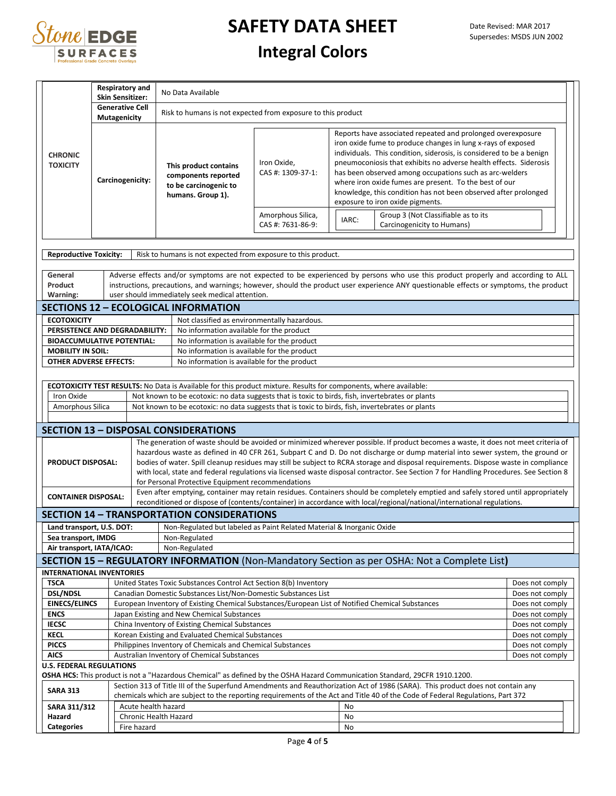

## **Integral Colors**

|                                   | <b>Respiratory and</b><br><b>Skin Sensitizer:</b> |                                                                                                                                                    | No Data Available                                                                                                 |       |                                                                                                                                                                                                                                                                                                                                                                                                                                                                                                      |                                                                                                                                                                                                                                                                                                                                                                                                                |                                    |  |
|-----------------------------------|---------------------------------------------------|----------------------------------------------------------------------------------------------------------------------------------------------------|-------------------------------------------------------------------------------------------------------------------|-------|------------------------------------------------------------------------------------------------------------------------------------------------------------------------------------------------------------------------------------------------------------------------------------------------------------------------------------------------------------------------------------------------------------------------------------------------------------------------------------------------------|----------------------------------------------------------------------------------------------------------------------------------------------------------------------------------------------------------------------------------------------------------------------------------------------------------------------------------------------------------------------------------------------------------------|------------------------------------|--|
|                                   | <b>Generative Cell</b><br>Mutagenicity            |                                                                                                                                                    | Risk to humans is not expected from exposure to this product                                                      |       |                                                                                                                                                                                                                                                                                                                                                                                                                                                                                                      |                                                                                                                                                                                                                                                                                                                                                                                                                |                                    |  |
| <b>CHRONIC</b><br><b>TOXICITY</b> |                                                   | Iron Oxide,<br>This product contains<br>CAS #: 1309-37-1:<br>components reported<br>Carcinogenicity:<br>to be carcinogenic to<br>humans. Group 1). |                                                                                                                   |       | Reports have associated repeated and prolonged overexposure<br>iron oxide fume to produce changes in lung x-rays of exposed<br>individuals. This condition, siderosis, is considered to be a benign<br>pneumoconiosis that exhibits no adverse health effects. Siderosis<br>has been observed among occupations such as arc-welders<br>where iron oxide fumes are present. To the best of our<br>knowledge, this condition has not been observed after prolonged<br>exposure to iron oxide pigments. |                                                                                                                                                                                                                                                                                                                                                                                                                |                                    |  |
|                                   |                                                   |                                                                                                                                                    | Amorphous Silica,<br>CAS #: 7631-86-9:                                                                            | IARC: | Group 3 (Not Classifiable as to its<br>Carcinogenicity to Humans)                                                                                                                                                                                                                                                                                                                                                                                                                                    |                                                                                                                                                                                                                                                                                                                                                                                                                |                                    |  |
| <b>Reproductive Toxicity:</b>     |                                                   |                                                                                                                                                    | Risk to humans is not expected from exposure to this product.                                                     |       |                                                                                                                                                                                                                                                                                                                                                                                                                                                                                                      |                                                                                                                                                                                                                                                                                                                                                                                                                |                                    |  |
| General<br>Product                |                                                   |                                                                                                                                                    | user should immediately seek medical attention.                                                                   |       |                                                                                                                                                                                                                                                                                                                                                                                                                                                                                                      | Adverse effects and/or symptoms are not expected to be experienced by persons who use this product properly and according to ALL<br>instructions, precautions, and warnings; however, should the product user experience ANY questionable effects or symptoms, the product                                                                                                                                     |                                    |  |
| Warning:                          |                                                   |                                                                                                                                                    | <b>SECTIONS 12 - ECOLOGICAL INFORMATION</b>                                                                       |       |                                                                                                                                                                                                                                                                                                                                                                                                                                                                                                      |                                                                                                                                                                                                                                                                                                                                                                                                                |                                    |  |
| <b>ECOTOXICITY</b>                |                                                   |                                                                                                                                                    | Not classified as environmentally hazardous.                                                                      |       |                                                                                                                                                                                                                                                                                                                                                                                                                                                                                                      |                                                                                                                                                                                                                                                                                                                                                                                                                |                                    |  |
| PERSISTENCE AND DEGRADABILITY:    |                                                   |                                                                                                                                                    | No information available for the product                                                                          |       |                                                                                                                                                                                                                                                                                                                                                                                                                                                                                                      |                                                                                                                                                                                                                                                                                                                                                                                                                |                                    |  |
| <b>BIOACCUMULATIVE POTENTIAL:</b> |                                                   |                                                                                                                                                    | No information is available for the product                                                                       |       |                                                                                                                                                                                                                                                                                                                                                                                                                                                                                                      |                                                                                                                                                                                                                                                                                                                                                                                                                |                                    |  |
| <b>MOBILITY IN SOIL:</b>          |                                                   |                                                                                                                                                    | No information is available for the product                                                                       |       |                                                                                                                                                                                                                                                                                                                                                                                                                                                                                                      |                                                                                                                                                                                                                                                                                                                                                                                                                |                                    |  |
| <b>OTHER ADVERSE EFFECTS:</b>     |                                                   |                                                                                                                                                    | No information is available for the product                                                                       |       |                                                                                                                                                                                                                                                                                                                                                                                                                                                                                                      |                                                                                                                                                                                                                                                                                                                                                                                                                |                                    |  |
|                                   |                                                   |                                                                                                                                                    |                                                                                                                   |       |                                                                                                                                                                                                                                                                                                                                                                                                                                                                                                      |                                                                                                                                                                                                                                                                                                                                                                                                                |                                    |  |
|                                   |                                                   |                                                                                                                                                    | ECOTOXICITY TEST RESULTS: No Data is Available for this product mixture. Results for components, where available: |       |                                                                                                                                                                                                                                                                                                                                                                                                                                                                                                      |                                                                                                                                                                                                                                                                                                                                                                                                                |                                    |  |
| Iron Oxide                        |                                                   |                                                                                                                                                    | Not known to be ecotoxic: no data suggests that is toxic to birds, fish, invertebrates or plants                  |       |                                                                                                                                                                                                                                                                                                                                                                                                                                                                                                      |                                                                                                                                                                                                                                                                                                                                                                                                                |                                    |  |
| Amorphous Silica                  |                                                   |                                                                                                                                                    | Not known to be ecotoxic: no data suggests that is toxic to birds, fish, invertebrates or plants                  |       |                                                                                                                                                                                                                                                                                                                                                                                                                                                                                                      |                                                                                                                                                                                                                                                                                                                                                                                                                |                                    |  |
|                                   |                                                   |                                                                                                                                                    | <b>SECTION 13 - DISPOSAL CONSIDERATIONS</b>                                                                       |       |                                                                                                                                                                                                                                                                                                                                                                                                                                                                                                      |                                                                                                                                                                                                                                                                                                                                                                                                                |                                    |  |
|                                   |                                                   |                                                                                                                                                    |                                                                                                                   |       |                                                                                                                                                                                                                                                                                                                                                                                                                                                                                                      | The generation of waste should be avoided or minimized wherever possible. If product becomes a waste, it does not meet criteria of                                                                                                                                                                                                                                                                             |                                    |  |
| <b>PRODUCT DISPOSAL:</b>          |                                                   |                                                                                                                                                    | for Personal Protective Equipment recommendations                                                                 |       |                                                                                                                                                                                                                                                                                                                                                                                                                                                                                                      | hazardous waste as defined in 40 CFR 261, Subpart C and D. Do not discharge or dump material into sewer system, the ground or<br>bodies of water. Spill cleanup residues may still be subject to RCRA storage and disposal requirements. Dispose waste in compliance<br>with local, state and federal regulations via licensed waste disposal contractor. See Section 7 for Handling Procedures. See Section 8 |                                    |  |
| <b>CONTAINER DISPOSAL:</b>        |                                                   |                                                                                                                                                    |                                                                                                                   |       |                                                                                                                                                                                                                                                                                                                                                                                                                                                                                                      | Even after emptying, container may retain residues. Containers should be completely emptied and safely stored until appropriately<br>reconditioned or dispose of (contents/container) in accordance with local/regional/national/international regulations.                                                                                                                                                    |                                    |  |
|                                   |                                                   |                                                                                                                                                    | <b>SECTION 14 - TRANSPORTATION CONSIDERATIONS</b>                                                                 |       |                                                                                                                                                                                                                                                                                                                                                                                                                                                                                                      |                                                                                                                                                                                                                                                                                                                                                                                                                |                                    |  |
| Land transport, U.S. DOT:         |                                                   |                                                                                                                                                    | Non-Regulated but labeled as Paint Related Material & Inorganic Oxide                                             |       |                                                                                                                                                                                                                                                                                                                                                                                                                                                                                                      |                                                                                                                                                                                                                                                                                                                                                                                                                |                                    |  |
| Sea transport, IMDG               |                                                   |                                                                                                                                                    | Non-Regulated                                                                                                     |       |                                                                                                                                                                                                                                                                                                                                                                                                                                                                                                      |                                                                                                                                                                                                                                                                                                                                                                                                                |                                    |  |
| Air transport, IATA/ICAO:         |                                                   |                                                                                                                                                    | Non-Regulated                                                                                                     |       |                                                                                                                                                                                                                                                                                                                                                                                                                                                                                                      |                                                                                                                                                                                                                                                                                                                                                                                                                |                                    |  |
|                                   |                                                   |                                                                                                                                                    |                                                                                                                   |       |                                                                                                                                                                                                                                                                                                                                                                                                                                                                                                      | <b>SECTION 15 - REGULATORY INFORMATION</b> (Non-Mandatory Section as per OSHA: Not a Complete List)                                                                                                                                                                                                                                                                                                            |                                    |  |
| <b>INTERNATIONAL INVENTORIES</b>  |                                                   |                                                                                                                                                    |                                                                                                                   |       |                                                                                                                                                                                                                                                                                                                                                                                                                                                                                                      |                                                                                                                                                                                                                                                                                                                                                                                                                |                                    |  |
| <b>TSCA</b>                       |                                                   |                                                                                                                                                    | United States Toxic Substances Control Act Section 8(b) Inventory                                                 |       |                                                                                                                                                                                                                                                                                                                                                                                                                                                                                                      |                                                                                                                                                                                                                                                                                                                                                                                                                | Does not comply                    |  |
| <b>DSL/NDSL</b>                   |                                                   |                                                                                                                                                    | Canadian Domestic Substances List/Non-Domestic Substances List                                                    |       |                                                                                                                                                                                                                                                                                                                                                                                                                                                                                                      |                                                                                                                                                                                                                                                                                                                                                                                                                | Does not comply                    |  |
| <b>EINECS/ELINCS</b>              |                                                   | European Inventory of Existing Chemical Substances/European List of Notified Chemical Substances<br>Does not comply                                |                                                                                                                   |       |                                                                                                                                                                                                                                                                                                                                                                                                                                                                                                      |                                                                                                                                                                                                                                                                                                                                                                                                                |                                    |  |
| <b>ENCS</b>                       |                                                   | Japan Existing and New Chemical Substances<br>Does not comply                                                                                      |                                                                                                                   |       |                                                                                                                                                                                                                                                                                                                                                                                                                                                                                                      |                                                                                                                                                                                                                                                                                                                                                                                                                |                                    |  |
| <b>IECSC</b>                      |                                                   | China Inventory of Existing Chemical Substances<br>Does not comply                                                                                 |                                                                                                                   |       |                                                                                                                                                                                                                                                                                                                                                                                                                                                                                                      |                                                                                                                                                                                                                                                                                                                                                                                                                |                                    |  |
| <b>KECL</b>                       |                                                   | Korean Existing and Evaluated Chemical Substances<br>Does not comply<br>Philippines Inventory of Chemicals and Chemical Substances                 |                                                                                                                   |       |                                                                                                                                                                                                                                                                                                                                                                                                                                                                                                      |                                                                                                                                                                                                                                                                                                                                                                                                                |                                    |  |
| <b>PICCS</b><br><b>AICS</b>       |                                                   |                                                                                                                                                    | Australian Inventory of Chemical Substances                                                                       |       |                                                                                                                                                                                                                                                                                                                                                                                                                                                                                                      |                                                                                                                                                                                                                                                                                                                                                                                                                | Does not comply<br>Does not comply |  |
| <b>U.S. FEDERAL REGULATIONS</b>   |                                                   |                                                                                                                                                    |                                                                                                                   |       |                                                                                                                                                                                                                                                                                                                                                                                                                                                                                                      |                                                                                                                                                                                                                                                                                                                                                                                                                |                                    |  |
|                                   |                                                   |                                                                                                                                                    |                                                                                                                   |       |                                                                                                                                                                                                                                                                                                                                                                                                                                                                                                      | OSHA HCS: This product is not a "Hazardous Chemical" as defined by the OSHA Hazard Communication Standard, 29CFR 1910.1200.                                                                                                                                                                                                                                                                                    |                                    |  |
| <b>SARA 313</b>                   |                                                   |                                                                                                                                                    |                                                                                                                   |       |                                                                                                                                                                                                                                                                                                                                                                                                                                                                                                      | Section 313 of Title III of the Superfund Amendments and Reauthorization Act of 1986 (SARA). This product does not contain any                                                                                                                                                                                                                                                                                 |                                    |  |
|                                   |                                                   |                                                                                                                                                    |                                                                                                                   |       |                                                                                                                                                                                                                                                                                                                                                                                                                                                                                                      | chemicals which are subject to the reporting requirements of the Act and Title 40 of the Code of Federal Regulations, Part 372                                                                                                                                                                                                                                                                                 |                                    |  |
| SARA 311/312                      |                                                   |                                                                                                                                                    | Acute health hazard                                                                                               |       | No                                                                                                                                                                                                                                                                                                                                                                                                                                                                                                   |                                                                                                                                                                                                                                                                                                                                                                                                                |                                    |  |
| Hazard                            |                                                   |                                                                                                                                                    | Chronic Health Hazard                                                                                             |       | No                                                                                                                                                                                                                                                                                                                                                                                                                                                                                                   |                                                                                                                                                                                                                                                                                                                                                                                                                |                                    |  |
| <b>Categories</b>                 |                                                   | Fire hazard                                                                                                                                        |                                                                                                                   |       | No                                                                                                                                                                                                                                                                                                                                                                                                                                                                                                   |                                                                                                                                                                                                                                                                                                                                                                                                                |                                    |  |